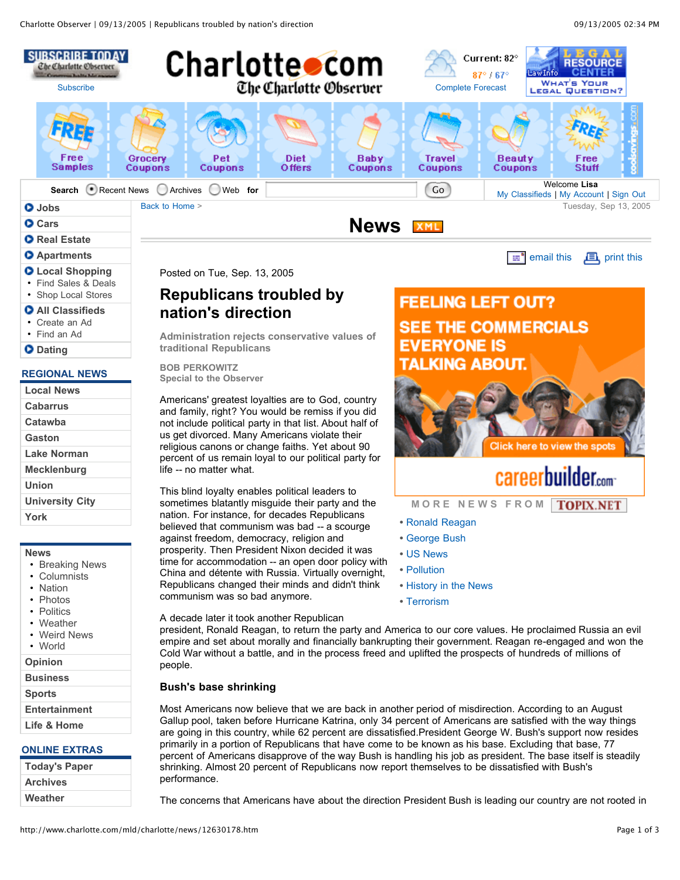

### **Apartments**

- **Local Shopping**
- Find Sales & Deals • Shop Local Stores
- 
- **All Classifieds** • Create an Ad
- Find an Ad
- **D** Dating

## **REGIONAL NEWS**

| <b>Local News</b>      |
|------------------------|
| <b>Cabarrus</b>        |
| Catawba                |
| Gaston                 |
| Lake Norman            |
| Mecklenburg            |
| Union                  |
| <b>University City</b> |
| York                   |
|                        |

#### **News**

- Breaking News
- Columnists
- Nation
- **Photos**
- Politics
- Weather • Weird News
- World
- 

**Opinion**

**Business**

**Sports Entertainment**

# **Life & Home**

## **ONLINE EXTRAS**

| <b>Today's Paper</b> |
|----------------------|
| <b>Archives</b>      |
| Weather              |

Posted on Tue, Sep. 13, 2005

# **Republicans troubled by nation's direction**

**Administration rejects conservative values of traditional Republicans**

**BOB PERKOWITZ Special to the Observer**

Americans' greatest loyalties are to God, country and family, right? You would be remiss if you did not include political party in that list. About half of us get divorced. Many Americans violate their religious canons or change faiths. Yet about 90 percent of us remain loyal to our political party for life -- no matter what.

This blind loyalty enables political leaders to sometimes blatantly misguide their party and the nation. For instance, for decades Republicans believed that communism was bad -- a scourge against freedom, democracy, religion and prosperity. Then President Nixon decided it was time for accommodation -- an open door policy with China and détente with Russia. Virtually overnight, Republicans changed their minds and didn't think communism was so bad anymore.

A decade later it took another Republican

**FEELING LEFT OUT? SEE THE COMMERCIALS EVERYONE IS TALKING ABOUT.** 



# **careerbuilder.com**

 $\equiv$ <sup>\*</sup> email this  $\Box$  print this

**M O R E N E W S F R O M TOPIX.NET** 

- **•** Ronald Reagan
- **•** George Bush
- **•** US News
- **•** Pollution
- **•** History in the News
- **•** Terrorism

president, Ronald Reagan, to return the party and America to our core values. He proclaimed Russia an evil empire and set about morally and financially bankrupting their government. Reagan re-engaged and won the Cold War without a battle, and in the process freed and uplifted the prospects of hundreds of millions of people.

# **Bush's base shrinking**

Most Americans now believe that we are back in another period of misdirection. According to an August Gallup pool, taken before Hurricane Katrina, only 34 percent of Americans are satisfied with the way things are going in this country, while 62 percent are dissatisfied.President George W. Bush's support now resides primarily in a portion of Republicans that have come to be known as his base. Excluding that base, 77 percent of Americans disapprove of the way Bush is handling his job as president. The base itself is steadily shrinking. Almost 20 percent of Republicans now report themselves to be dissatisfied with Bush's performance.

The concerns that Americans have about the direction President Bush is leading our country are not rooted in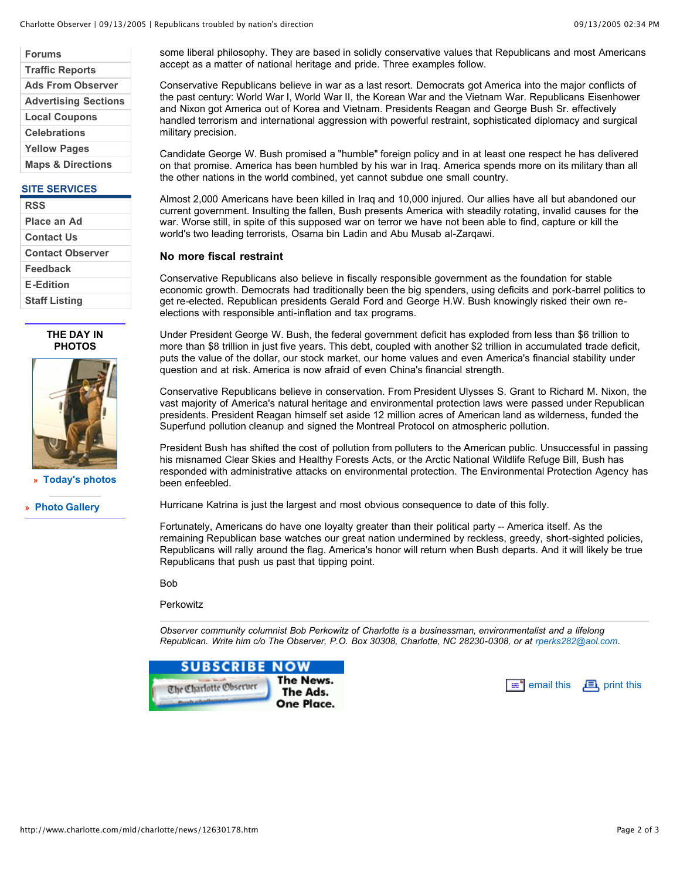| <b>Forums</b>                |
|------------------------------|
| <b>Traffic Reports</b>       |
| <b>Ads From Observer</b>     |
| <b>Advertising Sections</b>  |
| <b>Local Coupons</b>         |
| <b>Celebrations</b>          |
| <b>Yellow Pages</b>          |
| <b>Maps &amp; Directions</b> |

### **SITE SERVICES**

| <b>RSS</b>              |
|-------------------------|
| Place an Ad             |
| Contact Us              |
| <b>Contact Observer</b> |
| Feedback                |
| <b>E-Edition</b>        |
| <b>Staff Listing</b>    |

#### **THE DAY IN PHOTOS**



**» Today's photos**

**» Photo Gallery**

some liberal philosophy. They are based in solidly conservative values that Republicans and most Americans accept as a matter of national heritage and pride. Three examples follow.

Conservative Republicans believe in war as a last resort. Democrats got America into the major conflicts of the past century: World War I, World War II, the Korean War and the Vietnam War. Republicans Eisenhower and Nixon got America out of Korea and Vietnam. Presidents Reagan and George Bush Sr. effectively handled terrorism and international aggression with powerful restraint, sophisticated diplomacy and surgical military precision.

Candidate George W. Bush promised a "humble" foreign policy and in at least one respect he has delivered on that promise. America has been humbled by his war in Iraq. America spends more on its military than all the other nations in the world combined, yet cannot subdue one small country.

Almost 2,000 Americans have been killed in Iraq and 10,000 injured. Our allies have all but abandoned our current government. Insulting the fallen, Bush presents America with steadily rotating, invalid causes for the war. Worse still, in spite of this supposed war on terror we have not been able to find, capture or kill the world's two leading terrorists, Osama bin Ladin and Abu Musab al-Zarqawi.

#### **No more fiscal restraint**

Conservative Republicans also believe in fiscally responsible government as the foundation for stable economic growth. Democrats had traditionally been the big spenders, using deficits and pork-barrel politics to get re-elected. Republican presidents Gerald Ford and George H.W. Bush knowingly risked their own reelections with responsible anti-inflation and tax programs.

Under President George W. Bush, the federal government deficit has exploded from less than \$6 trillion to more than \$8 trillion in just five years. This debt, coupled with another \$2 trillion in accumulated trade deficit, puts the value of the dollar, our stock market, our home values and even America's financial stability under question and at risk. America is now afraid of even China's financial strength.

Conservative Republicans believe in conservation. From President Ulysses S. Grant to Richard M. Nixon, the vast majority of America's natural heritage and environmental protection laws were passed under Republican presidents. President Reagan himself set aside 12 million acres of American land as wilderness, funded the Superfund pollution cleanup and signed the Montreal Protocol on atmospheric pollution.

President Bush has shifted the cost of pollution from polluters to the American public. Unsuccessful in passing his misnamed Clear Skies and Healthy Forests Acts, or the Arctic National Wildlife Refuge Bill, Bush has responded with administrative attacks on environmental protection. The Environmental Protection Agency has been enfeebled.

Hurricane Katrina is just the largest and most obvious consequence to date of this folly.

Fortunately, Americans do have one loyalty greater than their political party -- America itself. As the remaining Republican base watches our great nation undermined by reckless, greedy, short-sighted policies, Republicans will rally around the flag. America's honor will return when Bush departs. And it will likely be true Republicans that push us past that tipping point.

Bob

#### **Perkowitz**

*Observer community columnist Bob Perkowitz of Charlotte is a businessman, environmentalist and a lifelong Republican. Write him c/o The Observer, P.O. Box 30308, Charlotte, NC 28230-0308, or at rperks282@aol.com.*